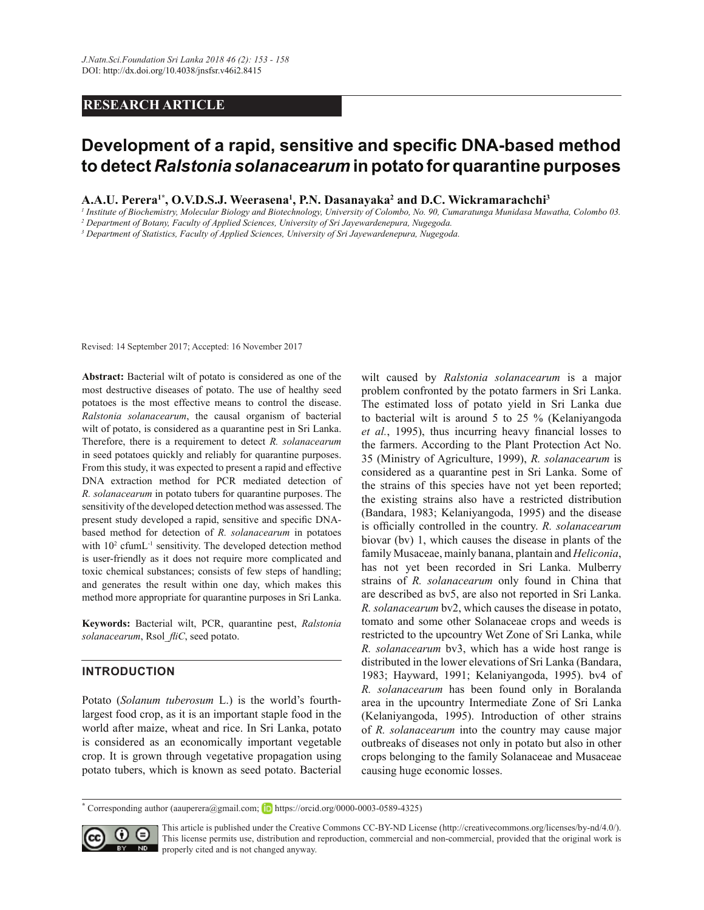# **RESEARCH ARTICLE**

# Development of a rapid, sensitive and specific DNA-based method **to detect** *Ralstonia solanacearum* **in potato for quarantine purposes**

**A.A.U. Perera<sup>1\*</sup>, O.V.D.S.J. Weerasena<sup>1</sup>, P.N. Dasanayaka<sup>2</sup> and D.C. Wickramarachchi<sup>3</sup>** 

*1 Institute of Biochemistry, Molecular Biology and Biotechnology, University of Colombo, No. 90, Cumaratunga Munidasa Mawatha, Colombo 03. 2 Department of Botany, Faculty of Applied Sciences, University of Sri Jayewardenepura, Nugegoda.*

*3 Department of Statistics, Faculty of Applied Sciences, University of Sri Jayewardenepura, Nugegoda.*

Revised: 14 September 2017; Accepted: 16 November 2017

Abstract: Bacterial wilt of potato is considered as one of the most destructive diseases of potato. The use of healthy seed potatoes is the most effective means to control the disease. *Ralstonia solanacearum*, the causal organism of bacterial wilt of potato, is considered as a quarantine pest in Sri Lanka. Therefore, there is a requirement to detect *R. solanacearum* in seed potatoes quickly and reliably for quarantine purposes. From this study, it was expected to present a rapid and effective DNA extraction method for PCR mediated detection of *R. solanacearum* in potato tubers for quarantine purposes. The sensitivity of the developed detection method was assessed. The present study developed a rapid, sensitive and specific DNAbased method for detection of *R. solanacearum* in potatoes with  $10<sup>2</sup>$  cfumL<sup>-1</sup> sensitivity. The developed detection method is user-friendly as it does not require more complicated and toxic chemical substances; consists of few steps of handling; and generates the result within one day, which makes this method more appropriate for quarantine purposes in Sri Lanka.

Keywords: Bacterial wilt, PCR, quarantine pest, Ralstonia  $solanacearum$ , Rsol *fliC*, seed potato.

### **INTRODUCTION**

Potato (Solanum tuberosum L.) is the world's fourthlargest food crop, as it is an important staple food in the world after maize, wheat and rice. In Sri Lanka, potato is considered as an economically important vegetable crop. It is grown through vegetative propagation using potato tubers, which is known as seed potato. Bacterial wilt caused by Ralstonia solanacearum is a major problem confronted by the potato farmers in Sri Lanka. The estimated loss of potato yield in Sri Lanka due to bacterial wilt is around 5 to 25 % (Kelaniyangoda et al., 1995), thus incurring heavy financial losses to the farmers. According to the Plant Protection Act No. 35 (Ministry of Agriculture, 1999), R. solanacearum is considered as a quarantine pest in Sri Lanka. Some of the strains of this species have not yet been reported; the existing strains also have a restricted distribution (Bandara, 1983; Kelaniyangoda, 1995) and the disease is officially controlled in the country. R. solanacearum biovar (bv) 1, which causes the disease in plants of the family Musaceae, mainly banana, plantain and *Heliconia*, has not yet been recorded in Sri Lanka. Mulberry strains of *R. solanacearum* only found in China that are described as bv5, are also not reported in Sri Lanka. *R. solanacearum* bv2, which causes the disease in potato, tomato and some other Solanaceae crops and weeds is restricted to the upcountry Wet Zone of Sri Lanka, while *R. solanacearum* bv3, which has a wide host range is distributed in the lower elevations of Sri Lanka (Bandara, 1983; Hayward, 1991; Kelaniyangoda, 1995). bv4 of *R. solanacearum* has been found only in Boralanda area in the upcountry Intermediate Zone of Sri Lanka (Kelaniyangoda, 1995). Introduction of other strains of *R. solanacearum* into the country may cause major outbreaks of diseases not only in potato but also in other crops belonging to the family Solanaceae and Musaceae causing huge economic losses.

**<sup>\*</sup>** Corresponding author (aauperera@gmail.com; FD https://orcid.org/0000-0003-0589-4325)



This article is published under the Creative Commons CC-BY-ND License (http://creativecommons.org/licenses/by-nd/4.0/). This license permits use, distribution and reproduction, commercial and non-commercial, provided that the original work is properly cited and is not changed anyway.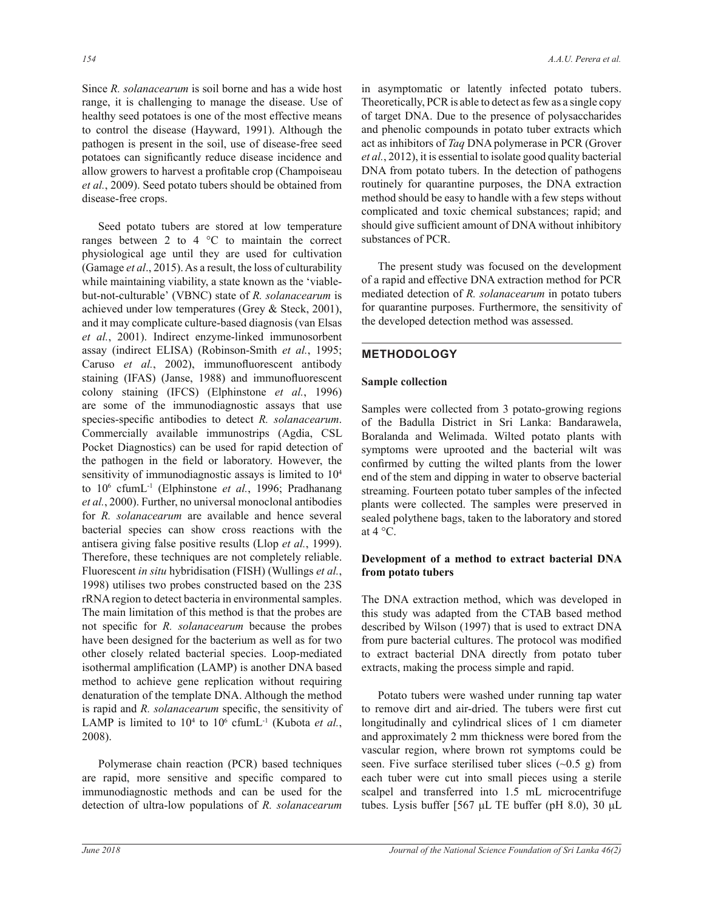Since *R. solanacearum* is soil borne and has a wide host range, it is challenging to manage the disease. Use of healthy seed potatoes is one of the most effective means to control the disease (Hayward, 1991). Although the pathogen is present in the soil, use of disease-free seed potatoes can significantly reduce disease incidence and allow growers to harvest a profitable crop (Champoiseau *et al.*, 2009). Seed potato tubers should be obtained from disease-free crops.

Seed potato tubers are stored at low temperature ranges between 2 to 4  $\degree$ C to maintain the correct physiological age until they are used for cultivation (Gamage et al., 2015). As a result, the loss of culturability while maintaining viability, a state known as the 'viablebut-not-culturable' (VBNC) state of R. solanacearum is achieved under low temperatures (Grey  $& \text{Steck}, 2001$ ), and it may complicate culture-based diagnosis (van Elsas *et al.*, 2001). Indirect enzyme-linked immunosorbent assay (indirect ELISA) (Robinson-Smith *et al.* Caruso et al., 2002), immunofluorescent antibody staining (IFAS) (Janse, 1988) and immunofluorescent colony staining (IFCS) (Elphinstone et al., 1996) are some of the immunodiagnostic assays that use species-specific antibodies to detect R. solanacearum. Commercially available immunostrips (Agdia, CSL Pocket Diagnostics) can be used for rapid detection of the pathogen in the field or laboratory. However, the sensitivity of immunodiagnostic assays is limited to  $10^4$ to 10<sup>6</sup> cfumL<sup>-1</sup> (Elphinstone *et al.*, 1996; Pradhanang *et al.*, 2000). Further, no universal monoclonal antibodies for *R. solanacearum* are available and hence several bacterial species can show cross reactions with the antisera giving false positive results (Llop *et al.*, 1999). Therefore, these techniques are not completely reliable. Fluorescent *in situ* hybridisation (FISH) (Wullings et al., 1998) utilises two probes constructed based on the 23S rRNA region to detect bacteria in environmental samples. The main limitation of this method is that the probes are not specific for *R. solanacearum* because the probes have been designed for the bacterium as well as for two other closely related bacterial species. Loop-mediated isothermal amplification (LAMP) is another DNA based method to achieve gene replication without requiring denaturation of the template DNA. Although the method is rapid and *R. solanacearum* specific, the sensitivity of LAMP is limited to  $10^4$  to  $10^6$  cfumL<sup>-1</sup> (Kubota *et al.*, 2008).

Polymerase chain reaction (PCR) based techniques are rapid, more sensitive and specific compared to immunodiagnostic methods and can be used for the detection of ultra-low populations of R. solanacearum in asymptomatic or latently infected potato tubers. Theoretically, PCR is able to detect as few as a single copy of target DNA. Due to the presence of polysaccharides and phenolic compounds in potato tuber extracts which act as inhibitors of *Taq* DNA polymerase in PCR (Grover *et al.*, 2012), it is essential to isolate good quality bacterial DNA from potato tubers. In the detection of pathogens routinely for quarantine purposes, the DNA extraction method should be easy to handle with a few steps without complicated and toxic chemical substances; rapid; and should give sufficient amount of DNA without inhibitory substances of PCR.

The present study was focused on the development of a rapid and effective DNA extraction method for PCR mediated detection of *R. solanacearum* in potato tubers for quarantine purposes. Furthermore, the sensitivity of the developed detection method was assessed.

# **METHODOLOGY**

# **Sample collection**

Samples were collected from 3 potato-growing regions of the Badulla District in Sri Lanka: Bandarawela, Boralanda and Welimada. Wilted potato plants with symptoms were uprooted and the bacterial wilt was confirmed by cutting the wilted plants from the lower end of the stem and dipping in water to observe bacterial streaming. Fourteen potato tuber samples of the infected plants were collected. The samples were preserved in sealed polythene bags, taken to the laboratory and stored at  $4^{\circ}$ C.

# Development of a method to extract bacterial DNA **from potato tubers**

The DNA extraction method, which was developed in this study was adapted from the CTAB based method described by Wilson (1997) that is used to extract DNA from pure bacterial cultures. The protocol was modified to extract bacterial DNA directly from potato tuber extracts, making the process simple and rapid.

Potato tubers were washed under running tap water to remove dirt and air-dried. The tubers were first cut longitudinally and cylindrical slices of 1 cm diameter and approximately 2 mm thickness were bored from the vascular region, where brown rot symptoms could be seen. Five surface sterilised tuber slices  $(\sim 0.5 \text{ g})$  from each tuber were cut into small pieces using a sterile scalpel and transferred into 1.5 mL microcentrifuge tubes. Lysis buffer  $[567 \mu L$  TE buffer (pH 8.0), 30  $\mu$ L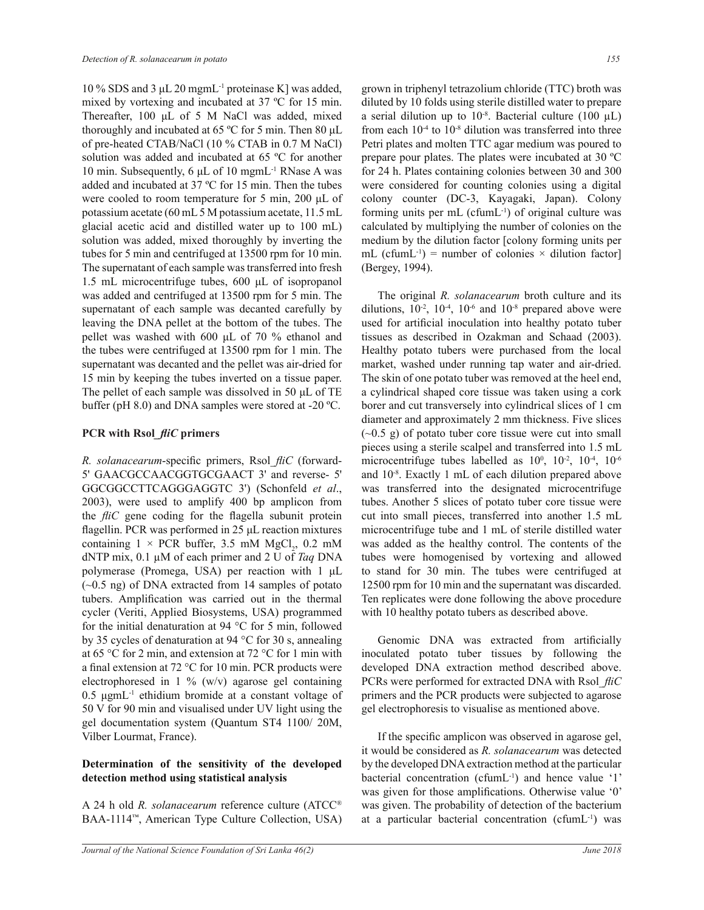10% SDS and 3 µL 20 mgmL<sup>-1</sup> proteinase K] was added, mixed by vortexing and incubated at 37  $^{\circ}$ C for 15 min. Thereafter, 100 µL of 5 M NaCl was added, mixed thoroughly and incubated at 65  $\degree$ C for 5 min. Then 80 µL of pre-heated CTAB/NaCl (10 % CTAB in 0.7 M NaCl) solution was added and incubated at 65 °C for another 10 min. Subsequently, 6 µL of 10 mgmL<sup>-1</sup> RNase A was added and incubated at 37  $^{\circ}$ C for 15 min. Then the tubes were cooled to room temperature for 5 min, 200  $\mu$ L of potassium acetate (60 mL 5 M potassium acetate, 11.5 mL glacial acetic acid and distilled water up to 100 mL) solution was added, mixed thoroughly by inverting the tubes for 5 min and centrifuged at  $13500$  rpm for 10 min. The supernatant of each sample was transferred into fresh 1.5 mL microcentrifuge tubes, 600  $\mu$ L of isopropanol was added and centrifuged at 13500 rpm for 5 min. The supernatant of each sample was decanted carefully by leaving the DNA pellet at the bottom of the tubes. The pellet was washed with  $600 \mu L$  of 70 % ethanol and the tubes were centrifuged at 13500 rpm for 1 min. The supernatant was decanted and the pellet was air-dried for 15 min by keeping the tubes inverted on a tissue paper. The pellet of each sample was dissolved in 50 µL of TE buffer (pH 8.0) and DNA samples were stored at -20  $^{\circ}$ C.

#### **PCR** with Rsol *fliC* primers

*R. solanacearum*-specific primers, Rsol *fliC* (forward-5' GAACGCCAACGGTGCGAACT 3' and reverse- 5' GGCGGCCTTCAGGGAGGTC 3') (Schonfeld et al.,  $2003$ ), were used to amplify  $400$  bp amplicon from the *fliC* gene coding for the flagella subunit protein flagellin. PCR was performed in 25 µL reaction mixtures containing  $1 \times PCR$  buffer, 3.5 mM  $MgCl_2$ , 0.2 mM dNTP mix,  $0.1 \mu M$  of each primer and  $2 U$  of Taq DNA polymerase (Promega, USA) per reaction with 1 µL  $(\sim 0.5$  ng) of DNA extracted from 14 samples of potato tubers. Amplification was carried out in the thermal cycler (Veriti, Applied Biosystems, USA) programmed for the initial denaturation at 94  $^{\circ}$ C for 5 min, followed by 35 cycles of denaturation at 94  $\degree$ C for 30 s, annealing at 65 °C for 2 min, and extension at 72 °C for 1 min with a final extension at 72  $\degree$ C for 10 min. PCR products were electrophoresed in 1 % (w/v) agarose gel containing  $0.5 \mu$ gmL<sup>-1</sup> ethidium bromide at a constant voltage of 50 V for 90 min and visualised under UV light using the gel documentation system (Quantum ST4 1100/20M, Vilber Lourmat, France).

## Determination of the sensitivity of the developed **detection method using statistical analysis**

A 24 h old *R. solanacearum* reference culture (ATCC<sup>®</sup> BAA-1114<sup>™</sup>, American Type Culture Collection, USA) grown in triphenyl tetrazolium chloride (TTC) broth was diluted by 10 folds using sterile distilled water to prepare a serial dilution up to  $10^{-8}$ . Bacterial culture (100 µL) from each  $10^{-4}$  to  $10^{-8}$  dilution was transferred into three Petri plates and molten TTC agar medium was poured to prepare pour plates. The plates were incubated at 30  $^{\circ}$ C for 24 h. Plates containing colonies between 30 and 300 were considered for counting colonies using a digital colony counter (DC-3, Kayagaki, Japan). Colony forming units per  $mL$  (cfumL $^{-1}$ ) of original culture was calculated by multiplying the number of colonies on the medium by the dilution factor [colony forming units per mL (cfumL<sup>-1</sup>) = number of colonies  $\times$  dilution factor] (Bergey, 1994).

 The original *R. solanacearum* broth culture and its dilutions,  $10^{-2}$ ,  $10^{-4}$ ,  $10^{-6}$  and  $10^{-8}$  prepared above were used for artificial inoculation into healthy potato tuber tissues as described in Ozakman and Schaad (2003). Healthy potato tubers were purchased from the local market, washed under running tap water and air-dried. The skin of one potato tuber was removed at the heel end, a cylindrical shaped core tissue was taken using a cork borer and cut transversely into cylindrical slices of 1 cm diameter and approximately 2 mm thickness. Five slices  $(\sim 0.5 \text{ g})$  of potato tuber core tissue were cut into small pieces using a sterile scalpel and transferred into 1.5 mL microcentrifuge tubes labelled as  $10^0$ ,  $10^{-2}$ ,  $10^{-4}$ ,  $10^{-6}$ and 10-8. Exactly 1 mL of each dilution prepared above was transferred into the designated microcentrifuge tubes. Another 5 slices of potato tuber core tissue were cut into small pieces, transferred into another 1.5 mL microcentrifuge tube and 1 mL of sterile distilled water was added as the healthy control. The contents of the tubes were homogenised by vortexing and allowed to stand for 30 min. The tubes were centrifuged at 12500 rpm for 10 min and the supernatant was discarded. Ten replicates were done following the above procedure with 10 healthy potato tubers as described above.

Genomic DNA was extracted from artificially inoculated potato tuber tissues by following the developed DNA extraction method described above. PCRs were performed for extracted DNA with Rsol fliC primers and the PCR products were subjected to agarose gel electrophoresis to visualise as mentioned above.

If the specific amplicon was observed in agarose gel. it would be considered as R. solanacearum was detected by the developed DNA extraction method at the particular bacterial concentration (cfumL<sup>-1</sup>) and hence value '1' was given for those amplifications. Otherwise value '0' was given. The probability of detection of the bacterium at a particular bacterial concentration (cfum $L^{-1}$ ) was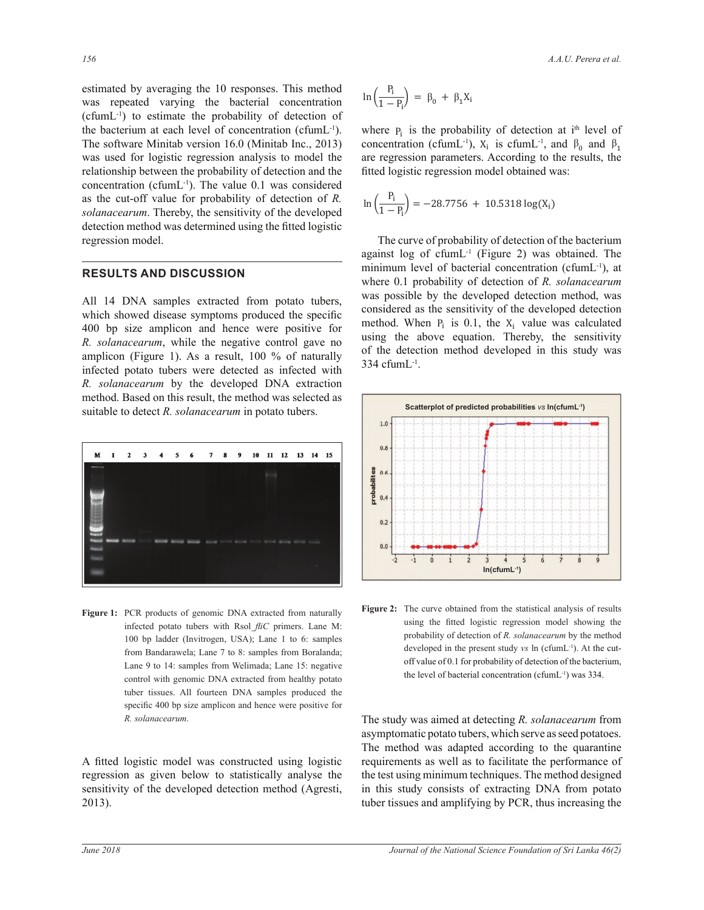estimated by averaging the 10 responses. This method was repeated varying the bacterial concentration (cfumL-1) to estimate the probability of detection of the bacterium at each level of concentration (cfumL-1). The software Minitab version 16.0 (Minitab Inc., 2013) was used for logistic regression analysis to model the relationship between the probability of detection and the concentration (cfumL $^{-1}$ ). The value 0.1 was considered as the cut-off value for probability of detection of *R*.  $ln(\frac{P_i}{1 - P}) = -28.7756 + 10.5318 \log(X_i)$ *solanacearum*. Thereby, the sensitivity of the developed detection method was determined using the fitted logistic<br>recreasion model regression model.

### **RESULTS AND DISCUSSION**

All 14 DNA samples extracted from potato tubers, which showed disease symptoms produced the specific 400 bp size amplicon and hence were positive for *R. solanacearum*, while the negative control gave no amplicon (Figure 1). As a result, 100 % of naturally infected potato tubers were detected as infected with *R. solanacearum* by the developed DNA extraction method. Based on this result, the method was selected as suitable to detect *R. solanacearum* in potato tubers.



Figure 1: PCR products of genomic DNA extracted from naturally infected potato tubers with Rsol *fliC* primers. Lane M: 100 bp ladder (Invitrogen, USA); Lane 1 to 6: samples from Bandarawela; Lane 7 to 8: samples from Boralanda; Lane 9 to 14: samples from Welimada; Lane 15: negative control with genomic DNA extracted from healthy potato tuber tissues. All fourteen DNA samples produced the specific 400 bp size amplicon and hence were positive for

A fitted logistic model was constructed using logistic regression as given below to statistically analyse the sensitivity of the developed detection method (Agresti, 2013).

$$
\ln\left(\frac{P_i}{1-P_i}\right) = \beta_0 + \beta_1 X_i
$$

 $\frac{1}{2}$  analysis to model the are regression parameters. According to the results, the to the contract of the probability of detection at i<sup>th</sup> level of  $\mathbf{r}_i$  (cfumL<sup>-1</sup>). where  $P_i$  is the probability of detection at  $I^m$  level of concentration (cfumL<sup>-1</sup>),  $X_i$  is cfumL<sup>-1</sup>, and  $\beta_0$  and  $\beta_1$ fitted logistic regression model obtained was:

$$
\ln\left(\frac{P_i}{1 - P_i}\right) = -28.7756 + 10.5318 \log(X_i)
$$

The curve of probability of detection of the bacterium  $334 \text{ cfumL}^{-1}$ . minimum lever of bacterial concentration (crump), at where 0.1 probability of detection of *R. solanacearum* where 0.1 probability of detection of R. solutated am<br>was possible by the developed detection method, was using the above equation. Thereby, the sensitivity against  $\log$  of cfumL<sup>-1</sup> (Figure 2) was obtained. The minimum level of bacterial concentration (cfumL<sup>-1</sup>), at considered as the sensitivity of the developed detection method. When  $P_i$  is 0.1, the  $X_i$  value was calculated<br>using the above equation. Thereby the sensitivity of the detection method developed in this study was



**Figure 2:** The curve obtained from the statistical analysis of results using the fitted logistic regression model showing the probability of detection of *R. solanacearum* by the method developed in the present study *vs* ln (cfumL<sup>-1</sup>). At the cutoff value of 0.1 for probability of detection of the bacterium, the level of bacterial concentration (cfumL $<sup>-1</sup>$ ) was 334.</sup>

*R. solanacearum.* 7He study was aimed at detecting *R. solanacearum* from asymptomatic potato tubers, which serve as seed potatoes. The method was adapted according to the quarantine requirements as well as to facilitate the performance of the test using minimum techniques. The method designed in this study consists of extracting DNA from potato tuber tissues and amplifying by PCR, thus increasing the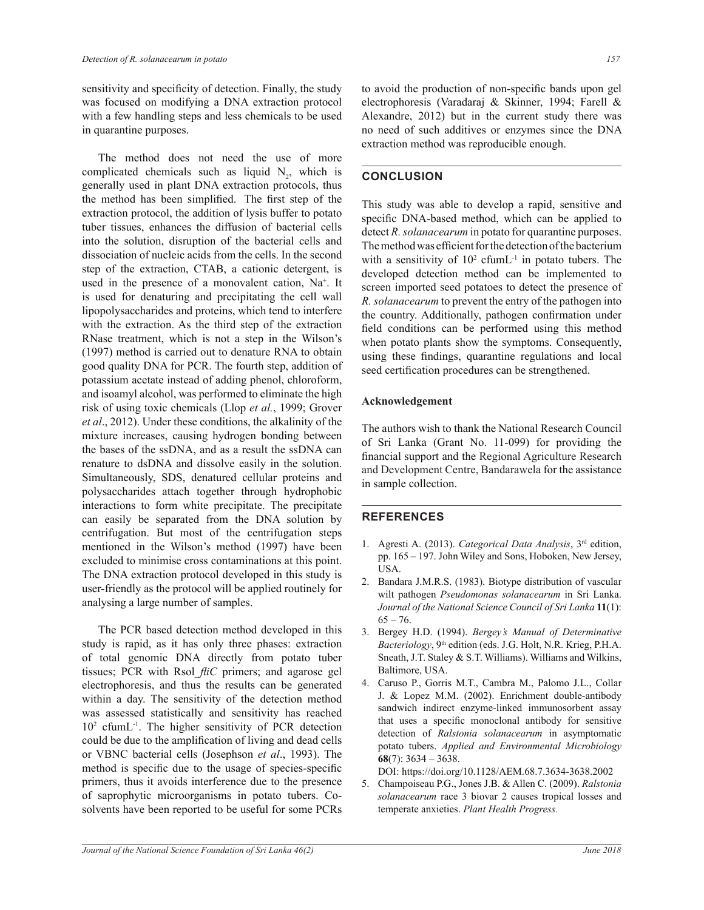sensitivity and specificity of detection. Finally, the study was focused on modifying a DNA extraction protocol with a few handling steps and less chemicals to be used in quarantine purposes.

 The method does not need the use of more complicated chemicals such as liquid  $N_2$ , which is generally used in plant DNA extraction protocols, thus the method has been simplified. The first step of the extraction protocol, the addition of lysis buffer to potato tuber tissues, enhances the diffusion of bacterial cells into the solution, disruption of the bacterial cells and dissociation of nucleic acids from the cells. In the second step of the extraction, CTAB, a cationic detergent, is used in the presence of a monovalent cation, Na<sup>+</sup>. It is used for denaturing and precipitating the cell wall lipopolysaccharides and proteins, which tend to interfere with the extraction. As the third step of the extraction RNase treatment, which is not a step in the Wilson's (1997) method is carried out to denature RNA to obtain good quality DNA for PCR. The fourth step, addition of potassium acetate instead of adding phenol, chloroform, and isoamyl alcohol, was performed to eliminate the high risk of using toxic chemicals (Llop et al., 1999; Grover *et al*., 2012). Under these conditions, the alkalinity of the mixture increases, causing hydrogen bonding between the bases of the ssDNA, and as a result the ssDNA can renature to dsDNA and dissolve easily in the solution. Simultaneously, SDS, denatured cellular proteins and polysaccharides attach together through hydrophobic interactions to form white precipitate. The precipitate can easily be separated from the DNA solution by centrifugation. But most of the centrifugation steps mentioned in the Wilson's method (1997) have been excluded to minimise cross contaminations at this point. The DNA extraction protocol developed in this study is user-friendly as the protocol will be applied routinely for analysing a large number of samples.

The PCR based detection method developed in this study is rapid, as it has only three phases: extraction of total genomic DNA directly from potato tuber tissues; PCR with Rsol *fliC* primers; and agarose gel electrophoresis, and thus the results can be generated within a day. The sensitivity of the detection method was assessed statistically and sensitivity has reached  $10<sup>2</sup>$  cfumL<sup>-1</sup>. The higher sensitivity of PCR detection could be due to the amplification of living and dead cells or VBNC bacterial cells (Josephson et al., 1993). The method is specific due to the usage of species-specific primers, thus it avoids interference due to the presence of saprophytic microorganisms in potato tubers. Cosolvents have been reported to be useful for some PCRs

to avoid the production of non-specific bands upon gel electrophoresis (Varadaraj & Skinner, 1994; Farell & Alexandre, 2012) but in the current study there was no need of such additives or enzymes since the DNA extraction method was reproducible enough.

# **CONCLUSION**

This study was able to develop a rapid, sensitive and specific DNA-based method, which can be applied to detect *R. solanacearum* in potato for quarantine purposes. The method was efficient for the detection of the bacterium with a sensitivity of  $10<sup>2</sup>$  cfumL<sup>-1</sup> in potato tubers. The developed detection method can be implemented to screen imported seed potatoes to detect the presence of *R. solanacearum* to prevent the entry of the pathogen into the country. Additionally, pathogen confirmation under field conditions can be performed using this method when potato plants show the symptoms. Consequently, using these findings, quarantine regulations and local seed certification procedures can be strengthened.

### **Acknowledgement**

The authors wish to thank the National Research Council of Sri Lanka (Grant No. 11-099) for providing the financial support and the Regional Agriculture Research and Development Centre, Bandarawela for the assistance in sample collection.

# **REFERENCES**

- 1. Agresti A. (2013). *Categorical Data Analysis*, 3rd edition, pp. 165 - 197. John Wiley and Sons, Hoboken, New Jersey, USA.
- 2. Bandara J.M.R.S. (1983). Biotype distribution of vascular wilt pathogen Pseudomonas solanacearum in Sri Lanka. *Journal of the National Science Council of Sri Lanka* **11**(1):  $65 - 76.$
- 3. Bergey H.D. (1994). *Bergey's Manual of Determinative Bacteriology*, 9<sup>th</sup> edition (eds. J.G. Holt, N.R. Krieg, P.H.A. Sneath, J.T. Staley & S.T. Williams). Williams and Wilkins, Baltimore, USA.
- 4. Caruso P., Gorris M.T., Cambra M., Palomo J.L., Collar J. & Lopez M.M. (2002). Enrichment double-antibody sandwich indirect enzyme-linked immunosorbent assay that uses a specific monoclonal antibody for sensitive detection of *Ralstonia solanacearum* in asymptomatic potato tubers. *Applied and Environmental Microbiology*   $68(7)$ : 3634 - 3638.

DOI: https://doi.org/10.1128/AEM.68.7.3634-3638.2002

5. Champoiseau P.G., Jones J.B. & Allen C. (2009). Ralstonia *solanacearum* race 3 biovar 2 causes tropical losses and temperate anxieties. *Plant Health Progress.*